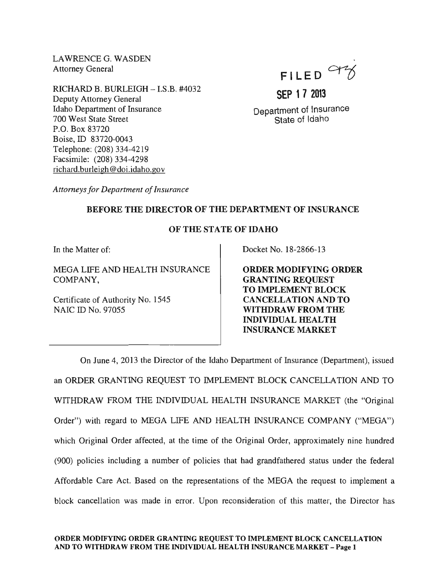LAWRENCE G. WASDEN Attorney General

RICHARD B. BURLEIGH - I.S.B. #4032 Deputy Attorney General Idaho Department of Insurance 700 West State Street P.O. Box 83720 Boise, ID 83720-0043 Telephone: (208) 334-4219 Facsimile: (208) 334-4298 richard.burleigh@doi.idaho.gov



**SEP 1 7 2013** 

Department of Insurance State of Idaho

*Attorneys for Department of Insurance* 

## BEFORE THE DIRECTOR OF THE DEPARTMENT OF INSURANCE

## OF THE STATE OF IDAHO

In the Matter of:

MEGA LIFE AND HEALTH INSURANCE COMPANY,

Certificate of Authority No. 1545 NAIC ID No. 97055

Docket No. 18-2866-13

ORDER MODIFYING ORDER GRANTING REQUEST TO IMPLEMENT BLOCK CANCELLATION AND TO WITHDRAW FROM THE INDIVIDUAL HEALTH INSURANCE MARKET

On June 4, 2013 the Director of the Idaho Department of Insurance (Department), issued an ORDER GRANTING REQUEST TO IMPLEMENT BLOCK CANCELLATION AND TO WITHDRAW FROM THE INDIVIDUAL HEALTH INSURANCE MARKET (the "Original Order") with regard to MEGA LIFE AND HEALTH INSURANCE COMPANY ("MEGA") which Original Order affected, at the time of the Original Order, approximately nine hundred (900) policies including a number of policies that had grandfathered status under the federal Affordable Care Act. Based on the representations of the MEGA the request to implement a block cancellation was made in error. Upon reconsideration of this matter, the Director has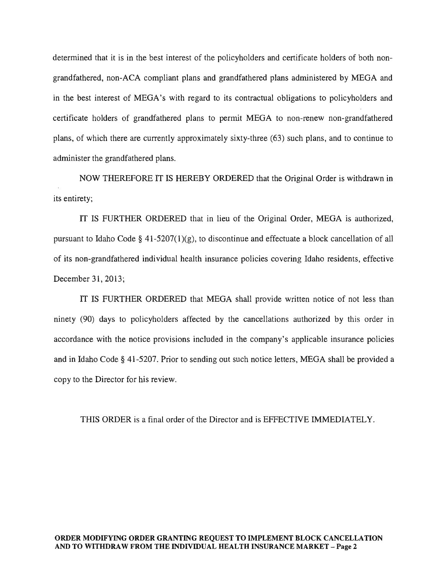determined that it is in the best interest of the policyholders and certificate holders of both nongrandfathered, non-ACA compliant plans and grandfathered plans administered by MEGA and in the best interest of MEGA's with regard to its contractual obligations to policyholders and certificate holders of grandfathered plans to permit MEGA to non-renew non-grandfathered plans, of which there are currently approximately sixty-three (63) such plans, and to continue to administer the grandfathered plans.

NOW THEREFORE IT IS HEREBY ORDERED that the Original Order is withdrawn in its entirety;

IT IS FURTHER ORDERED that in lieu of the Original Order, MEGA is authorized, pursuant to Idaho Code  $\S$  41-5207(1)(g), to discontinue and effectuate a block cancellation of all of its non-grandfathered individual health insurance policies covering Idaho residents, effective December 31,2013;

IT IS FURTHER ORDERED that MEGA shall provide written notice of not less than ninety (90) days to policyholders affected by the cancellations authorized by this order in accordance with the notice provisions included in the company's applicable insurance policies and in Idaho Code § 41-5207. Prior to sending out such notice letters, MEGA shall be provided a copy to the Director for his review.

THIS ORDER is a final order of the Director and is EFFECTIVE IMMEDIATELY.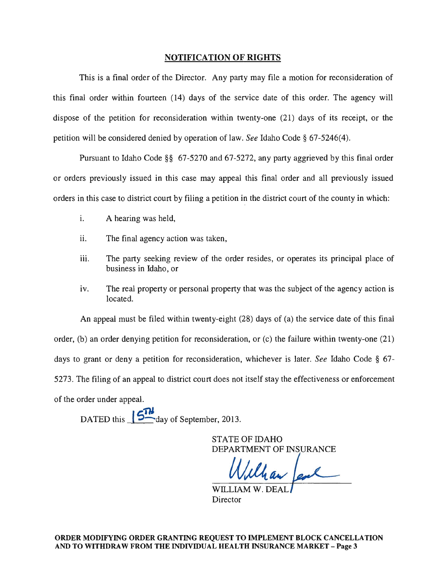## NOTIFICATION OF RIGHTS

This is a final order of the Director. Any party may file a motion for reconsideration of this final order within fourteen (14) days of the service date of this order. The agency will dispose of the petition for reconsideration within twenty-one (21) days of its receipt, or the petition will be considered denied by operation of law. *See* Idaho Code § 67-5246(4).

Pursuant to Idaho Code §§ 67-5270 and 67-5272, any party aggrieved by this final order or orders previously issued in this case may appeal this final order and all previously issued orders in this case to district court by filing a petition in the district court of the county in which:

- i. A hearing was held,
- ii. The final agency action was taken,
- iii. The party seeking review of the order resides, or operates its principal place of business in Idaho, or
- iv. The real property or personal property that was the subject of the agency action is located.

An appeal must be filed within twenty-eight (28) days of (a) the service date of this final order, (b) an order denying petition for reconsideration, or (c) the failure within twenty-one (21) days to grant or deny a petition for reconsideration, whichever is later. *See* Idaho Code § 67- 5273. The filing of an appeal to district court does not itself stay the effectiveness or enforcement of the order under appeal.

DATED this **574** day of September, 2013.

STATE OF IDAHO<br>DEPARTMENT OF INSURANCE

WILLIAM W. DE. **Director**